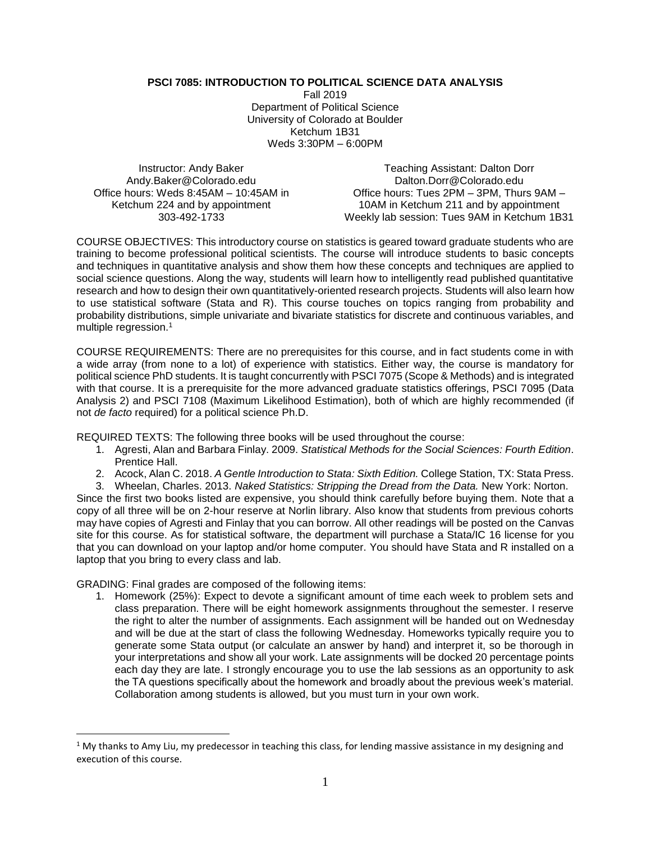## **PSCI 7085: INTRODUCTION TO POLITICAL SCIENCE DATA ANALYSIS**

Fall 2019 Department of Political Science University of Colorado at Boulder Ketchum 1B31 Weds 3:30PM – 6:00PM

Instructor: Andy Baker Andy.Baker@Colorado.edu Office hours: Weds 8:45AM – 10:45AM in Ketchum 224 and by appointment 303-492-1733

Teaching Assistant: Dalton Dorr Dalton.Dorr@Colorado.edu Office hours: Tues 2PM – 3PM, Thurs 9AM – 10AM in Ketchum 211 and by appointment Weekly lab session: Tues 9AM in Ketchum 1B31

COURSE OBJECTIVES: This introductory course on statistics is geared toward graduate students who are training to become professional political scientists. The course will introduce students to basic concepts and techniques in quantitative analysis and show them how these concepts and techniques are applied to social science questions. Along the way, students will learn how to intelligently read published quantitative research and how to design their own quantitatively-oriented research projects. Students will also learn how to use statistical software (Stata and R). This course touches on topics ranging from probability and probability distributions, simple univariate and bivariate statistics for discrete and continuous variables, and multiple regression.<sup>1</sup>

COURSE REQUIREMENTS: There are no prerequisites for this course, and in fact students come in with a wide array (from none to a lot) of experience with statistics. Either way, the course is mandatory for political science PhD students. It is taught concurrently with PSCI 7075 (Scope & Methods) and is integrated with that course. It is a prerequisite for the more advanced graduate statistics offerings, PSCI 7095 (Data Analysis 2) and PSCI 7108 (Maximum Likelihood Estimation), both of which are highly recommended (if not *de facto* required) for a political science Ph.D.

REQUIRED TEXTS: The following three books will be used throughout the course:

- 1. Agresti, Alan and Barbara Finlay. 2009. *Statistical Methods for the Social Sciences: Fourth Edition*. Prentice Hall.
- 2. Acock, Alan C. 2018. *A Gentle Introduction to Stata: Sixth Edition.* College Station, TX: Stata Press.
- 3. Wheelan, Charles. 2013. *Naked Statistics: Stripping the Dread from the Data.* New York: Norton.

Since the first two books listed are expensive, you should think carefully before buying them. Note that a copy of all three will be on 2-hour reserve at Norlin library. Also know that students from previous cohorts may have copies of Agresti and Finlay that you can borrow. All other readings will be posted on the Canvas site for this course. As for statistical software, the department will purchase a Stata/IC 16 license for you that you can download on your laptop and/or home computer. You should have Stata and R installed on a laptop that you bring to every class and lab.

GRADING: Final grades are composed of the following items:

 $\overline{\phantom{a}}$ 

1. Homework (25%): Expect to devote a significant amount of time each week to problem sets and class preparation. There will be eight homework assignments throughout the semester. I reserve the right to alter the number of assignments. Each assignment will be handed out on Wednesday and will be due at the start of class the following Wednesday. Homeworks typically require you to generate some Stata output (or calculate an answer by hand) and interpret it, so be thorough in your interpretations and show all your work. Late assignments will be docked 20 percentage points each day they are late. I strongly encourage you to use the lab sessions as an opportunity to ask the TA questions specifically about the homework and broadly about the previous week's material. Collaboration among students is allowed, but you must turn in your own work.

 $1$  My thanks to Amy Liu, my predecessor in teaching this class, for lending massive assistance in my designing and execution of this course.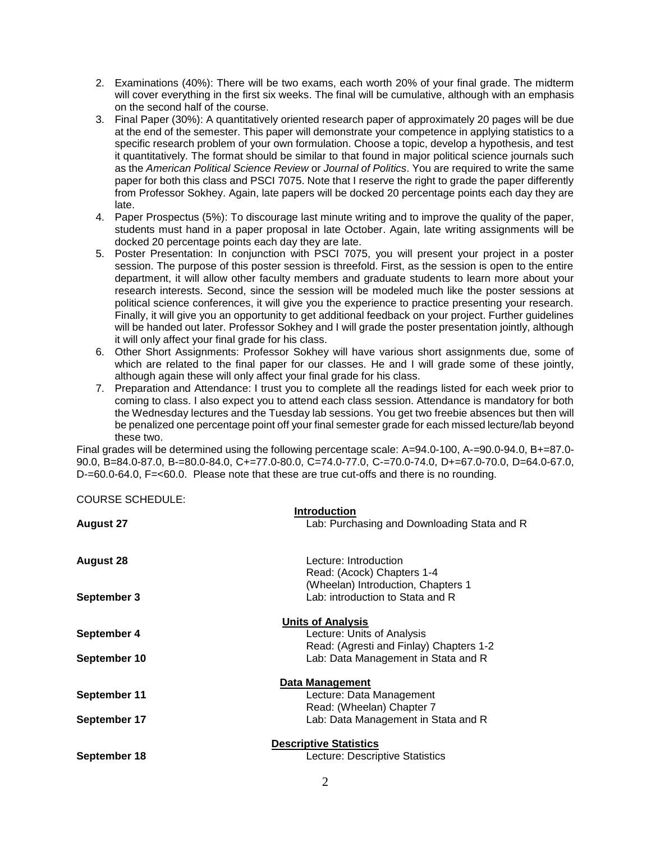- 2. Examinations (40%): There will be two exams, each worth 20% of your final grade. The midterm will cover everything in the first six weeks. The final will be cumulative, although with an emphasis on the second half of the course.
- 3. Final Paper (30%): A quantitatively oriented research paper of approximately 20 pages will be due at the end of the semester. This paper will demonstrate your competence in applying statistics to a specific research problem of your own formulation. Choose a topic, develop a hypothesis, and test it quantitatively. The format should be similar to that found in major political science journals such as the *American Political Science Review* or *Journal of Politics*. You are required to write the same paper for both this class and PSCI 7075. Note that I reserve the right to grade the paper differently from Professor Sokhey. Again, late papers will be docked 20 percentage points each day they are late.
- 4. Paper Prospectus (5%): To discourage last minute writing and to improve the quality of the paper, students must hand in a paper proposal in late October. Again, late writing assignments will be docked 20 percentage points each day they are late.
- 5. Poster Presentation: In conjunction with PSCI 7075, you will present your project in a poster session. The purpose of this poster session is threefold. First, as the session is open to the entire department, it will allow other faculty members and graduate students to learn more about your research interests. Second, since the session will be modeled much like the poster sessions at political science conferences, it will give you the experience to practice presenting your research. Finally, it will give you an opportunity to get additional feedback on your project. Further guidelines will be handed out later. Professor Sokhey and I will grade the poster presentation jointly, although it will only affect your final grade for his class.
- 6. Other Short Assignments: Professor Sokhey will have various short assignments due, some of which are related to the final paper for our classes. He and I will grade some of these jointly, although again these will only affect your final grade for his class.
- 7. Preparation and Attendance: I trust you to complete all the readings listed for each week prior to coming to class. I also expect you to attend each class session. Attendance is mandatory for both the Wednesday lectures and the Tuesday lab sessions. You get two freebie absences but then will be penalized one percentage point off your final semester grade for each missed lecture/lab beyond these two.

Final grades will be determined using the following percentage scale: A=94.0-100, A-=90.0-94.0, B+=87.0- 90.0, B=84.0-87.0, B-=80.0-84.0, C+=77.0-80.0, C=74.0-77.0, C-=70.0-74.0, D+=67.0-70.0, D=64.0-67.0, D-=60.0-64.0, F=<60.0. Please note that these are true cut-offs and there is no rounding.

COURSE SCHEDULE:

| <b>August 27</b> | Introduction<br>Lab: Purchasing and Downloading Stata and R            |
|------------------|------------------------------------------------------------------------|
| <b>August 28</b> | Lecture: Introduction<br>Read: (Acock) Chapters 1-4                    |
| September 3      | (Wheelan) Introduction, Chapters 1<br>Lab: introduction to Stata and R |
|                  | <b>Units of Analysis</b>                                               |
| September 4      | Lecture: Units of Analysis                                             |
|                  | Read: (Agresti and Finlay) Chapters 1-2                                |
| September 10     | Lab: Data Management in Stata and R                                    |
|                  | Data Management                                                        |
| September 11     | Lecture: Data Management                                               |
|                  | Read: (Wheelan) Chapter 7                                              |
| September 17     | Lab: Data Management in Stata and R                                    |
|                  | <b>Descriptive Statistics</b>                                          |
| September 18     | Lecture: Descriptive Statistics                                        |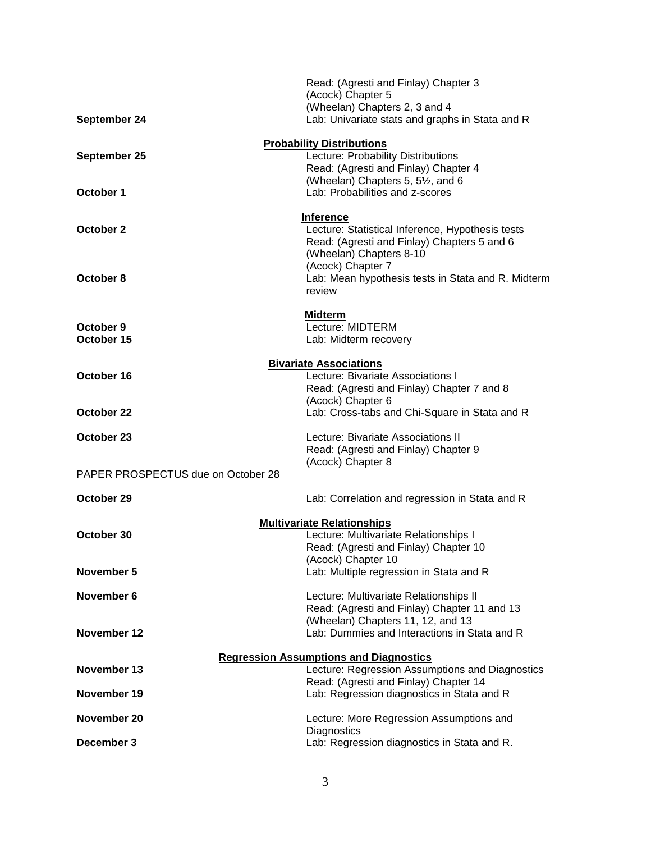|                                               | Read: (Agresti and Finlay) Chapter 3                                    |  |
|-----------------------------------------------|-------------------------------------------------------------------------|--|
|                                               | (Acock) Chapter 5<br>(Wheelan) Chapters 2, 3 and 4                      |  |
| September 24                                  | Lab: Univariate stats and graphs in Stata and R                         |  |
|                                               |                                                                         |  |
| September 25                                  | <b>Probability Distributions</b><br>Lecture: Probability Distributions  |  |
|                                               | Read: (Agresti and Finlay) Chapter 4                                    |  |
|                                               | (Wheelan) Chapters 5, 51/2, and 6                                       |  |
| October 1                                     | Lab: Probabilities and z-scores                                         |  |
| Inference                                     |                                                                         |  |
| October 2                                     | Lecture: Statistical Inference, Hypothesis tests                        |  |
|                                               | Read: (Agresti and Finlay) Chapters 5 and 6                             |  |
|                                               | (Wheelan) Chapters 8-10                                                 |  |
| October 8                                     | (Acock) Chapter 7<br>Lab: Mean hypothesis tests in Stata and R. Midterm |  |
|                                               | review                                                                  |  |
|                                               |                                                                         |  |
|                                               | <b>Midterm</b>                                                          |  |
| October 9<br>October 15                       | Lecture: MIDTERM<br>Lab: Midterm recovery                               |  |
|                                               |                                                                         |  |
| <b>Bivariate Associations</b>                 |                                                                         |  |
| October 16                                    | Lecture: Bivariate Associations I                                       |  |
|                                               | Read: (Agresti and Finlay) Chapter 7 and 8                              |  |
| October 22                                    | (Acock) Chapter 6<br>Lab: Cross-tabs and Chi-Square in Stata and R      |  |
|                                               |                                                                         |  |
| October 23                                    | Lecture: Bivariate Associations II                                      |  |
|                                               | Read: (Agresti and Finlay) Chapter 9                                    |  |
| PAPER PROSPECTUS due on October 28            | (Acock) Chapter 8                                                       |  |
|                                               |                                                                         |  |
| October 29                                    | Lab: Correlation and regression in Stata and R                          |  |
| <b>Multivariate Relationships</b>             |                                                                         |  |
| October 30                                    | Lecture: Multivariate Relationships I                                   |  |
|                                               | Read: (Agresti and Finlay) Chapter 10                                   |  |
|                                               | (Acock) Chapter 10                                                      |  |
| November 5                                    | Lab: Multiple regression in Stata and R                                 |  |
| November 6                                    | Lecture: Multivariate Relationships II                                  |  |
|                                               | Read: (Agresti and Finlay) Chapter 11 and 13                            |  |
|                                               | (Wheelan) Chapters 11, 12, and 13                                       |  |
| November 12                                   | Lab: Dummies and Interactions in Stata and R                            |  |
| <b>Regression Assumptions and Diagnostics</b> |                                                                         |  |
| November 13                                   | Lecture: Regression Assumptions and Diagnostics                         |  |
|                                               | Read: (Agresti and Finlay) Chapter 14                                   |  |
| November 19                                   | Lab: Regression diagnostics in Stata and R                              |  |
| November 20                                   | Lecture: More Regression Assumptions and                                |  |
|                                               | Diagnostics                                                             |  |
| December 3                                    | Lab: Regression diagnostics in Stata and R.                             |  |